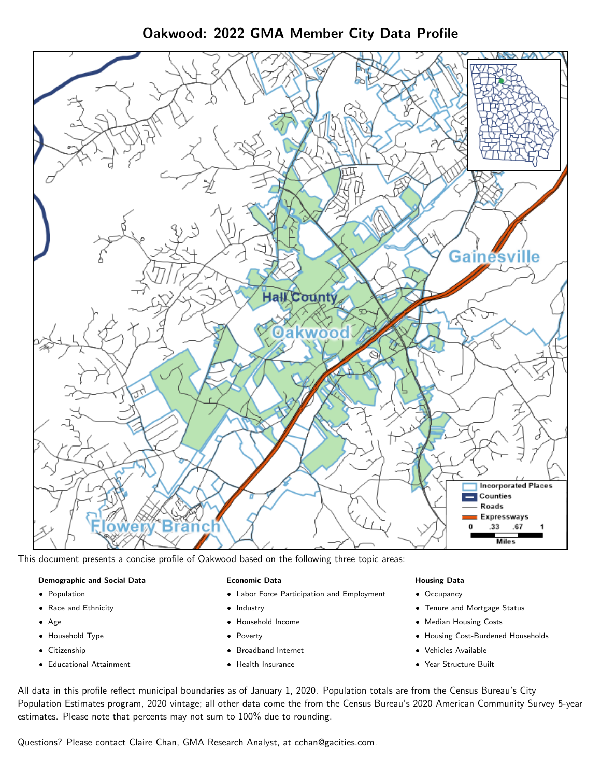Oakwood: 2022 GMA Member City Data Profile



This document presents a concise profile of Oakwood based on the following three topic areas:

### Demographic and Social Data

- **•** Population
- Race and Ethnicity
- Age
- Household Type
- **Citizenship**
- Educational Attainment

### Economic Data

- Labor Force Participation and Employment
- Industry
- Household Income
- Poverty
- Broadband Internet
- Health Insurance

#### Housing Data

- Occupancy
- Tenure and Mortgage Status
- Median Housing Costs
- Housing Cost-Burdened Households
- Vehicles Available
- Year Structure Built

All data in this profile reflect municipal boundaries as of January 1, 2020. Population totals are from the Census Bureau's City Population Estimates program, 2020 vintage; all other data come the from the Census Bureau's 2020 American Community Survey 5-year estimates. Please note that percents may not sum to 100% due to rounding.

Questions? Please contact Claire Chan, GMA Research Analyst, at [cchan@gacities.com.](mailto:cchan@gacities.com)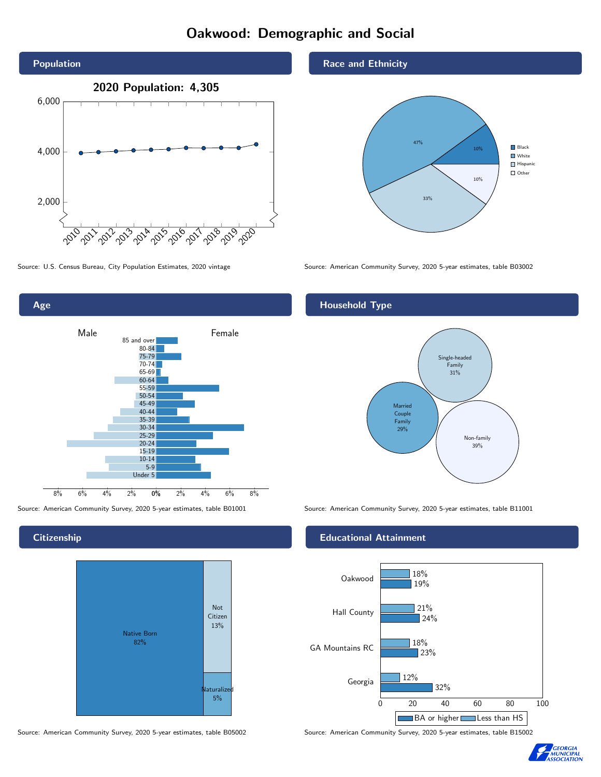# Oakwood: Demographic and Social





**Citizenship** 



Source: American Community Survey, 2020 5-year estimates, table B05002 Source: American Community Survey, 2020 5-year estimates, table B15002

Race and Ethnicity



Source: U.S. Census Bureau, City Population Estimates, 2020 vintage Source: American Community Survey, 2020 5-year estimates, table B03002

# Household Type



Source: American Community Survey, 2020 5-year estimates, table B01001 Source: American Community Survey, 2020 5-year estimates, table B11001

### Educational Attainment



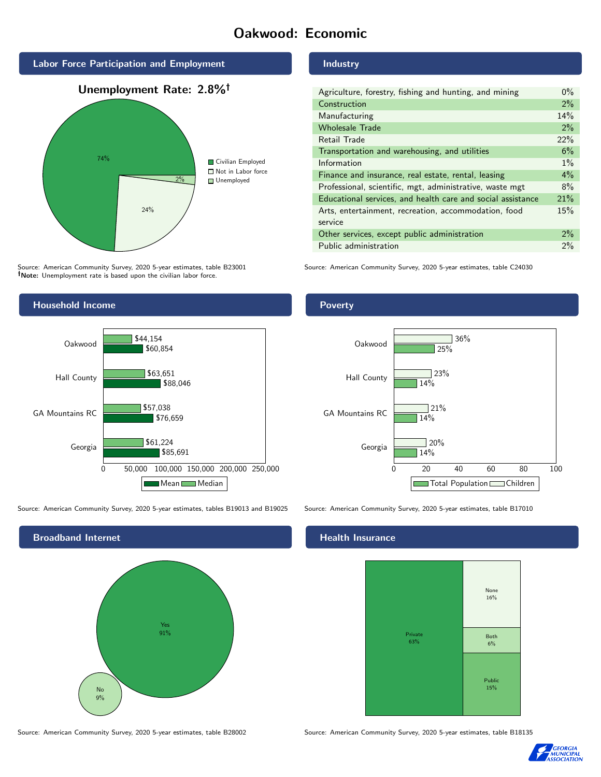# Oakwood: Economic



Source: American Community Survey, 2020 5-year estimates, table B23001 Note: Unemployment rate is based upon the civilian labor force.



Source: American Community Survey, 2020 5-year estimates, tables B19013 and B19025 Source: American Community Survey, 2020 5-year estimates, table B17010



#### Industry

| Agriculture, forestry, fishing and hunting, and mining      | $0\%$ |
|-------------------------------------------------------------|-------|
| Construction                                                | 2%    |
| Manufacturing                                               | 14%   |
| <b>Wholesale Trade</b>                                      | 2%    |
| Retail Trade                                                | 22%   |
| Transportation and warehousing, and utilities               | 6%    |
| Information                                                 | $1\%$ |
| Finance and insurance, real estate, rental, leasing         | $4\%$ |
| Professional, scientific, mgt, administrative, waste mgt    | 8%    |
| Educational services, and health care and social assistance | 21%   |
| Arts, entertainment, recreation, accommodation, food        | 15%   |
| service                                                     |       |
| Other services, except public administration                | $2\%$ |
| Public administration                                       | 2%    |

Source: American Community Survey, 2020 5-year estimates, table C24030

### Poverty



# **Health Insurance**



Source: American Community Survey, 2020 5-year estimates, table B28002 Source: American Community Survey, 2020 5-year estimates, table B18135